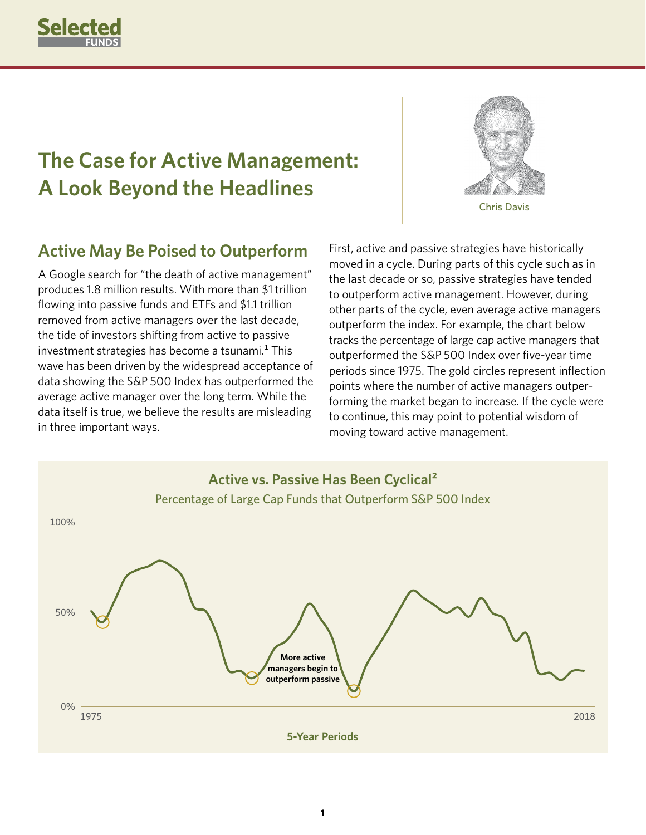

# **The Case for Active Management: A Look Beyond the Headlines**



Chris Davis

#### **Active May Be Poised to Outperform**

A Google search for "the death of active management" produces 1.8 million results. With more than \$1 trillion flowing into passive funds and ETFs and \$1.1 trillion removed from active managers over the last decade, the tide of investors shifting from active to passive investment strategies has become a tsunami. $1$  This wave has been driven by the widespread acceptance of data showing the S&P 500 Index has outperformed the average active manager over the long term. While the data itself is true, we believe the results are misleading in three important ways.

First, active and passive strategies have historically moved in a cycle. During parts of this cycle such as in the last decade or so, passive strategies have tended to outperform active management. However, during other parts of the cycle, even average active managers outperform the index. For example, the chart below tracks the percentage of large cap active managers that outperformed the S&P 500 Index over five-year time periods since 1975. The gold circles represent inflection points where the number of active managers outperforming the market began to increase. If the cycle were to continue, this may point to potential wisdom of moving toward active management.

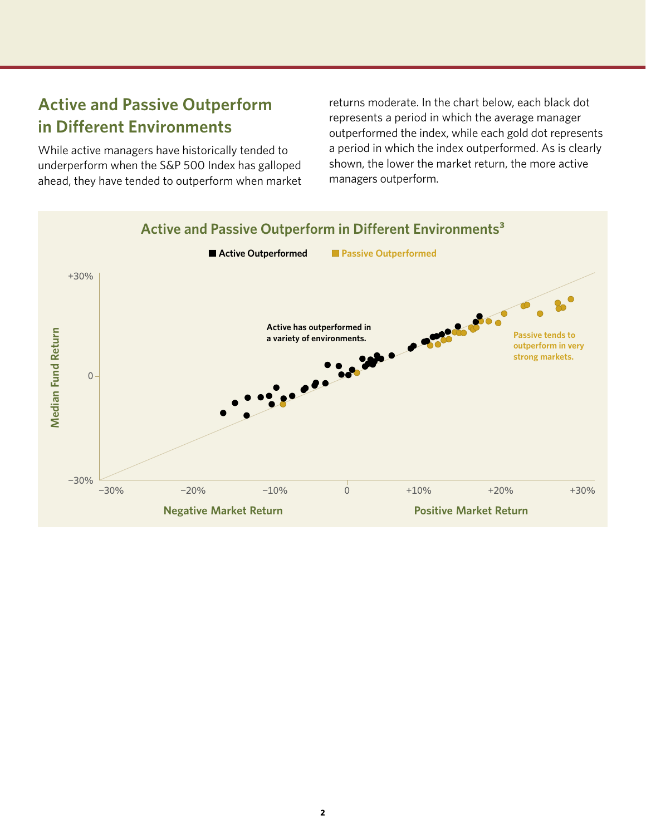## **Active and Passive Outperform in Different Environments**

While active managers have historically tended to underperform when the S&P 500 Index has galloped ahead, they have tended to outperform when market

returns moderate. In the chart below, each black dot represents a period in which the average manager outperformed the index, while each gold dot represents a period in which the index outperformed. As is clearly shown, the lower the market return, the more active managers outperform.

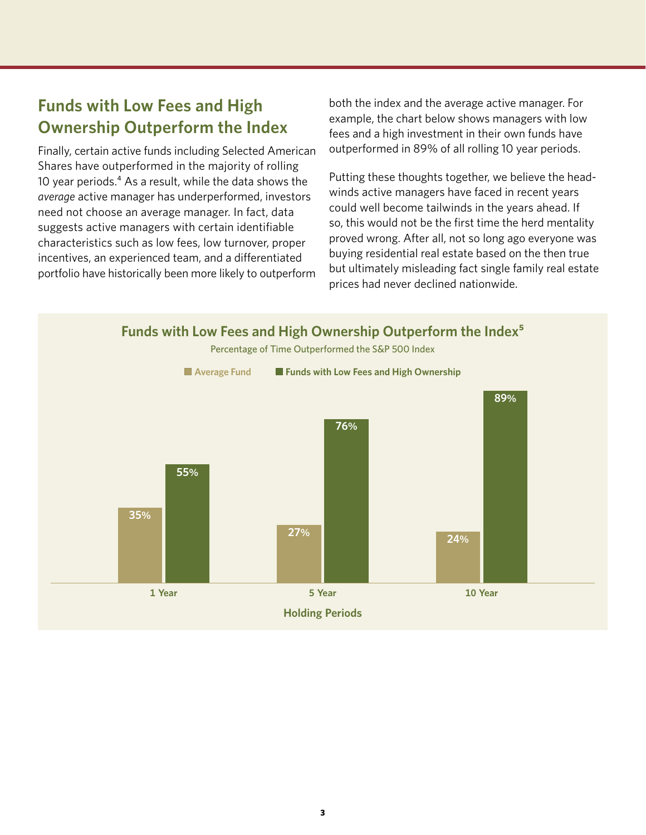## **Funds with Low Fees and High Ownership Outperform the Index**

Finally, certain active funds including Selected American Shares have outperformed in the majority of rolling 10 year periods.<sup>4</sup> As a result, while the data shows the *average* active manager has underperformed, investors need not choose an average manager. In fact, data suggests active managers with certain identifiable characteristics such as low fees, low turnover, proper incentives, an experienced team, and a differentiated portfolio have historically been more likely to outperform both the index and the average active manager. For example, the chart below shows managers with low fees and a high investment in their own funds have outperformed in 89% of all rolling 10 year periods.

Putting these thoughts together, we believe the headwinds active managers have faced in recent years could well become tailwinds in the years ahead. If so, this would not be the first time the herd mentality proved wrong. After all, not so long ago everyone was buying residential real estate based on the then true but ultimately misleading fact single family real estate prices had never declined nationwide.

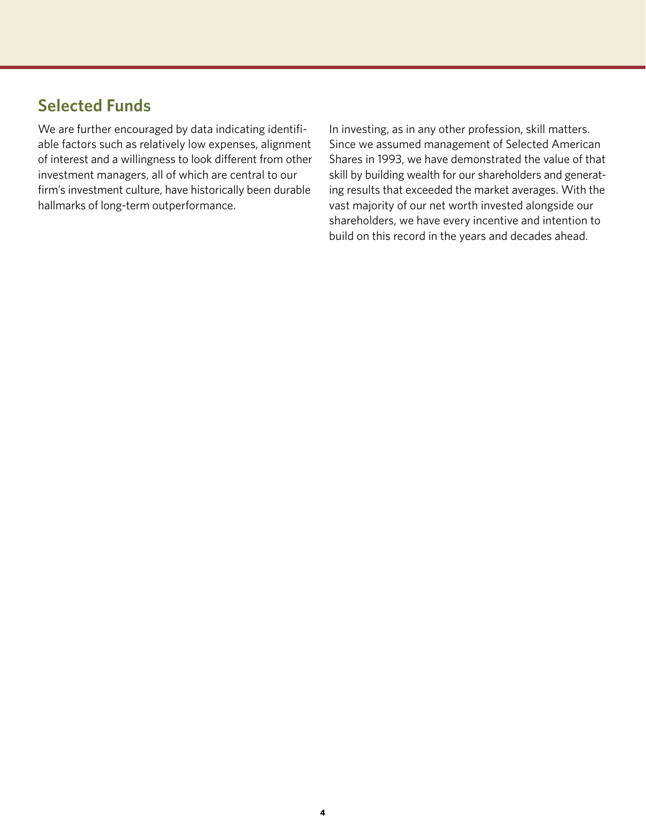#### **Selected Funds**

We are further encouraged by data indicating identifiable factors such as relatively low expenses, alignment of interest and a willingness to look different from other investment managers, all of which are central to our firm's investment culture, have historically been durable hallmarks of long-term outperformance.

In investing, as in any other profession, skill matters. Since we assumed management of Selected American Shares in 1993, we have demonstrated the value of that skill by building wealth for our shareholders and generating results that exceeded the market averages. With the vast majority of our net worth invested alongside our shareholders, we have every incentive and intention to build on this record in the years and decades ahead.